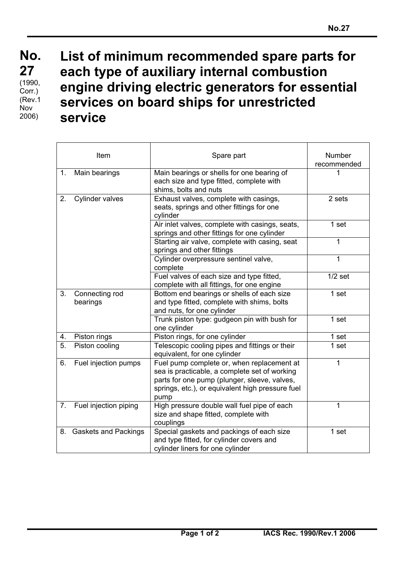## **List of minimum recommended spare parts for each type of auxiliary internal combustion engine driving electric generators for essential services on board ships for unrestricted service**

|                  | Item                        | Spare part                                                                                                                                                                                              | <b>Number</b><br>recommended |
|------------------|-----------------------------|---------------------------------------------------------------------------------------------------------------------------------------------------------------------------------------------------------|------------------------------|
| 1.               | Main bearings               | Main bearings or shells for one bearing of<br>each size and type fitted, complete with<br>shims, bolts and nuts                                                                                         | 1                            |
| 2.               | Cylinder valves             | Exhaust valves, complete with casings,<br>seats, springs and other fittings for one<br>cylinder                                                                                                         | 2 sets                       |
|                  |                             | Air inlet valves, complete with casings, seats,<br>springs and other fittings for one cylinder                                                                                                          | 1 set                        |
|                  |                             | Starting air valve, complete with casing, seat<br>springs and other fittings                                                                                                                            | 1                            |
|                  |                             | Cylinder overpressure sentinel valve,<br>complete                                                                                                                                                       | 1                            |
|                  |                             | Fuel valves of each size and type fitted,<br>complete with all fittings, for one engine                                                                                                                 | $1/2$ set                    |
| 3.               | Connecting rod<br>bearings  | Bottom end bearings or shells of each size<br>and type fitted, complete with shims, bolts<br>and nuts, for one cylinder                                                                                 | 1 set                        |
|                  |                             | Trunk piston type: gudgeon pin with bush for<br>one cylinder                                                                                                                                            | 1 set                        |
| 4.               | Piston rings                | Piston rings, for one cylinder                                                                                                                                                                          | 1 set                        |
| $\overline{5}$ . | Piston cooling              | Telescopic cooling pipes and fittings or their<br>equivalent, for one cylinder                                                                                                                          | 1 set                        |
| 6.               | Fuel injection pumps        | Fuel pump complete or, when replacement at<br>sea is practicable, a complete set of working<br>parts for one pump (plunger, sleeve, valves,<br>springs, etc.), or equivalent high pressure fuel<br>pump | 1                            |
| 7.               | Fuel injection piping       | High pressure double wall fuel pipe of each<br>size and shape fitted, complete with<br>couplings                                                                                                        | 1                            |
| 8.               | <b>Gaskets and Packings</b> | Special gaskets and packings of each size<br>and type fitted, for cylinder covers and<br>cylinder liners for one cylinder                                                                               | 1 set                        |